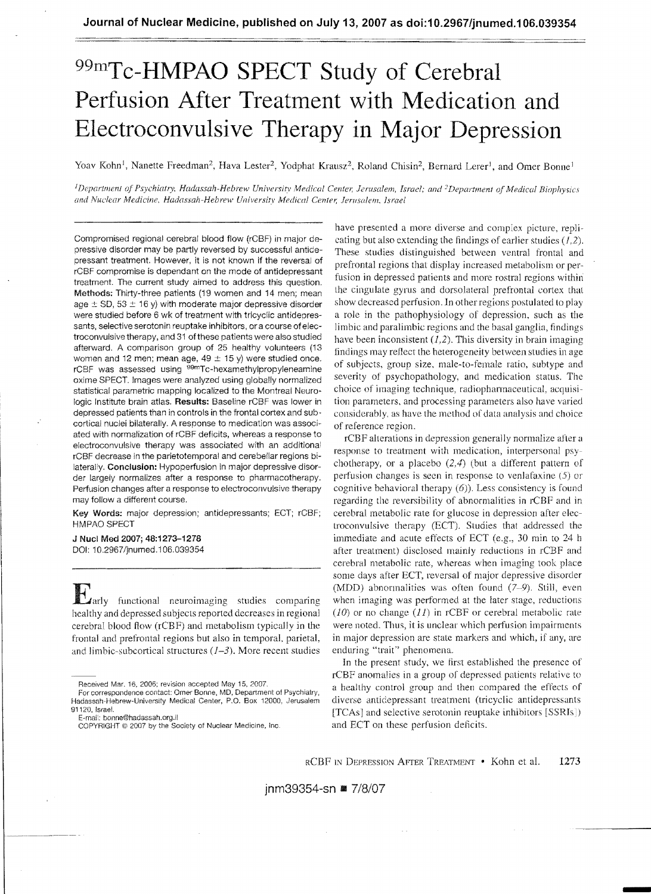# <sup>99m</sup>Tc-HMPAO SPECT Study of Cerebral **Perfusion After Treatment with Medication and Electroconvulsive Therapy in Major Depression**

Yoav Kohn<sup>1</sup>, Nanette Freedman<sup>2</sup>, Hava Lester<sup>2</sup>, Yodphat Krausz<sup>2</sup>, Roland Chisin<sup>2</sup>, Bernard Lerer<sup>1</sup>, and Omer Bonne<sup>1</sup>

<sup>1</sup>Department of Psychiatry, Hadassah-Hebrew University Medical Center, Jerusalem, Israel; and <sup>2</sup>Department of Medical Biophysics and Nuclear Medicine, Hadassah-Hebrew University Medical Center, Jerusalem, Israel

Compromised regional cerebral blood flow (rCBF) in major depressive disorder may be partly reversed by successful antidepressant treatment. However, it is not known if the reversal of rCBF compromise is dependant on the mode of antidepressant treatment. The current study aimed to address this question. Methods: Thirty-three patients (19 women and 14 men; mean age  $\pm$  SD, 53  $\pm$  16 y) with moderate major depressive disorder were studied before 6 wk of treatment with tricyclic antidepressants, selective serotonin reuptake inhibitors, or a course of electroconvulsive therapy, and 31 ofthese patients were also studied afterward. A comparison group of 25 healthy volunteers (13 women and 12 men; mean age,  $49 \pm 15$  y) were studied once. rCBF was assessed using <sup>99m</sup>Tc-hexamethylpropyleneamine oxime SPECT. Images were analyzed using globally normalized statistical parametric mapping localized to the Montreal Neurologic Institute brain atlas. **Results:** Baseline rCBF was lower in depressed patients than in controls in the frontal cortex and subcortical nuclei bilaterally. A response to medication was associated with normalization of rCBF deficits, whereas a response to electroconvulsive therapy was associated with an additional rCBF decrease in the parietotemporal and cerebellar regions bilaterally. Conclusion: Hypoperfusion in major depressive disorder largely normalizes after a response to pharmacotherapy. Perfusion changes after a response to electroconvulsive therapy may follow a different course.

Key Words: major depression; antidepressants; ECT; rCBF; HMPAO SPECT

J Nucl Mad 2007; **48:1273-1278**  001: 10.2967/jnumed,106.039354

Early functional neuroimaging studies comparing healthy and depressed subjects reported decreases in regional cerebral blood flow (rCBF) and metabolism typically in the frontal and prefrontal regions but also in temporal. parietal, and limbic-subcortical structures  $(1-3)$ . More recent studies

have presented a more diverse and complex picture, replicating but also extending the findings of earlier studies  $(1,2)$ . These studies distinguished between ventral frontal and prefrontal regions that display increased metabolism or perfusion in depressed patients and more rostral regions within [he cingulate gyrus and dorsolateral prefrontal cortex that show decreased perfusion. In other regions postulated to play a role in the pathophysiology of depression, such as the limbic and paralimbic regions and the basal ganglia, findings have been inconsistent  $(1,2)$ . This diversity in brain imaging findings may reflect the heterogeneity between studies in age of subjects, group size, male-to-female ratio, subtype and severity of psychopathology, and medication status. The choice of imaging technique, radiopharmaceutical, acquisition parameters, and processing parameters also have varied considerably. as have the method of data analysis and choice of reference region.

rCBF alterations in depression generally normalize after a response to treatment with medieation, interpersonal psychotherapy, or a placebo  $(2,4)$  (but a different pattern of perfusion changes is seen in response to venlafaxine  $(5)$  or cognitive behavioral therapy  $(6)$ ). Less consistency is found regarding the reversibility of abnormalities in rCBF and in cerebral metabolic rate for glucose in depression after electroconvulsive therapy (ECT). Studies that addressed the immediate and acute effects of ECT (e,g., 30 min to 24 h after treatment) disclosed mainly reductions in rCBF and cerebral metabolic rate, whereas when imaging took place some days after ECT, reversal of major depressive disorder (MDD) abnormalities was often found  $(7-9)$ . Still, even when imaging was performed at the later stage, reductions  $(10)$  or no change  $(11)$  in rCBF or cerebral metabolic rate were noted. Thus, it is unclear which perfusion impairments in major depression are state markers and which, if any, are enduring "trait" phenomena.

In the present study, we first established the presence of rCBF anomalies in a group of depressed patients relative to a healthy control group and then compared the effects of diverse antidepressant treatment (tricyclic antidepressants [TCAs] and selective serotonin reuptake inhibitors [SSRIs ) and ECT on these perfusion deficits.

Received Mar. 16, 2006; revision accepted May 15, 2007.

For correspondence contact: Omer Bonne, MD, Department of Psychiatry, Hadassah-Hebrew-University Medical Center, P.O. Box 12000, Jerusalem 91120, Israel.

E-rnai:: bonne@hadassah.org.il

COPYRIGHT (0 2007 by the Society of Nuclear Medicine, Inc.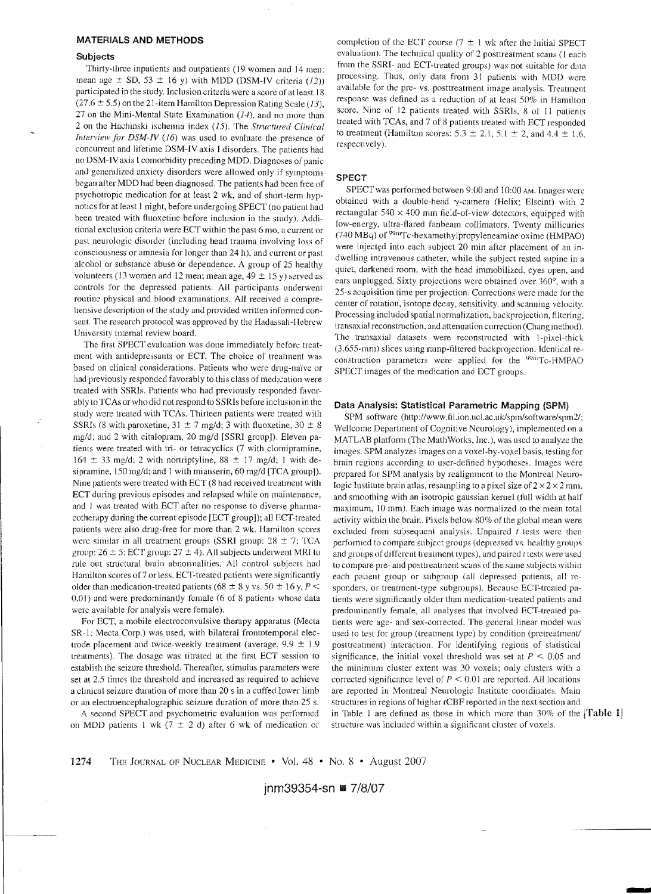## MATERIALS **AND METHODS**

### **Subjects**

Thirty-three inpatients and outpatients (19 women aud 14 men: mean age  $\pm$  SD, 53  $\pm$  16 y) with MDD (DSM-IV criteria (12)) participated in the study, Inclusion criteria were a score of at least 18 (27.6  $\pm$  5.5) on the 21-item Hamilton Depression Rating Scale (13), 27 on the Mini-Mental State Examination  $(14)$ , and no more than 2 on the Hachinski ischemia index (15). The *Structured Clinical Interview for DSM-IV (16)* was used to evaluate the presence of concurrent and lifetime DSM-IV axis I disorders, The patients had no DSM-IVaxis [comorbidity preceding MDD, Diagnoses of panic and generalized anxiety disorders were allowed only if symptoms began after MDD had been diagnosed. The patients had been free of psychotropic medication for at least 2 wk, and of short-term hypnotics for at least I night, before undergoing SPECT (no patient had been treated with fluoxetille before inclusion in the study). Additional exclusion criteria were ECT within the past 6 mo, a current or past neurologic disorder (including head trauma involving loss of consciousness or amnesia for longer than 24 h), and current or past alcohol or substance abuse or dependence. A group of 25 healthy volunteers (13 women and 12 men; mean age,  $49 \pm 15$  y) served as controls for the depressed patients. All participants underwent routine physical and blood examinations. All received a comprehensive description of the study and provided written informed consent. The research protocol was approved by the Hadassah-Hebrew University intemal review board.

The first SPECT evaluation was done immediately before treatment with antidepressants or ECT. The choice of treatment was based on clinical considerations. Patients who were drug-naïve or had previously responded favorably to this class of medication were treated with SSRIs. Patients who had previously responded favorably to TCAs or who did not respond to SSRIs before inclusion in the study were treated with TCAs. Thirteen patients were treated with SSRIs (8 with paroxetine,  $31 \pm 7$  mg/d; 3 with fluoxetine,  $30 \pm 8$ mg/d; and 2 with citalopram, 20 mg/d [SSRI group]). Eleven patients were treated with tri- or tetracyclics (7 with clomipramine, 164  $\pm$  33 mg/d; 2 with nortriptyline, 88  $\pm$  17 mg/d; 1 with desipramine, 150 mg/d; and 1 with mianserin, 60 mg/d [TCA group]). Nine patients were treated with ECT (8 had received treatment with ECT during previous episodes and relapsed while on maintenance, and 1 was treated with ECT after no response to diverse pharmacotherapy during the current episode [ECT group]); all ECT-treated patients were also drug-free for more than 2 wk. Hamilton scores were similar in all treatment groups (SSRI group:  $28 \pm 7$ ; TCA group:  $26 \pm 5$ ; ECT group:  $27 \pm 4$ ). All subjects underwent MRI to rule out structural brain abnonnalities. All control subjects had Hamilton scores of? or less. ECT-treated patients were significantly older than medication-treated patients (68  $\pm$  8 y vs. 50  $\pm$  16 y, *P* < 0.01) and were predominantly female (6 of 8 patients whose data were available for analysis were female).

For ECT, a mobile electroconvulsive therapy apparatus (Mecta SR-1; Mecta Corp.) was used, with bilateral frontotemporal electrode placement and twice-weekly treatment (average,  $9.9 \pm 1.9$ ) treatments). The dosage was titrated at the first ECT session to establish the seizure threshold. Thereafter, stimulus parameters were set at 2.5 times the threshold and increased as required to achieve a clinical seizure duration of more than 20 s in a cuffed lower limb or an electroencephalographic seizure duration of more than 25 s.

A second SPECT and psychometric evaluation was performed on MDD patients 1 wk (7  $\pm$  2 d) after 6 wk of medication or

completion of the ECT course ( $7 \pm 1$  wk after the initial SPECT evaluation). The technical quality of 2 posttreatment scans (1 each from the SSRI- and BCT-treated groups) was not suitable for data processing. Thus, only data from 31 patients with MDD were available for the pre- vs. posttreatment image analysis. Treatment response was defined as a reduction of at least 50% in Hamilton score. Nine of 12 patients treated with SSRIs, 8 of 11 patients treated with TCAs, and 7 of 8 patients treated with ECT responded to treatment (Hamilton scores:  $5.3 \pm 2.1, 5.1 \pm 2$ , and  $4.4 \pm 1.6$ , respectively).

### **SPECT**

SPECT was performed between 9:00 and 10:00 AM. Images were obtained with a double-head  $\gamma$ -camera (Helix; Elscint) with 2 rectangular  $540 \times 400$  mm field-of-view detectors, equipped with low-energy, ultra-flared fanbeam collimators. Twenty millicuries (740 MBq) of <sup>99m</sup>Tc-hexamethylpropyleneamine oxime (HMPAO) were injected into each subject 20 min after placement of an indwelling intravenous catheter, while the subject rested supine in a quiet, darkened room, with the head immobilized, eyes open, and ears unplugged. Sixty projections were obtained over 360°, with a 25-5 acquisition time per projection. Corrections were made for the center of rotation, isotope deeay, sensitivity, and scanning velocity. Processing included spatial normalization, backprojection, filtering, lransaxiaJ reconstruction, and attenuation correction (Chang method), The transaxial datasets were reconstructed with J-pixel-thick (3.655-mm) slices using ramp-filtered backprojection. Identical reconstruction parameters were applied for the  $^{99}$ <sup>m</sup>Tc-HMPAO SPECT images of the medication and ECT groups.

### Data Analysis: Statistical Parametric Mapping (SPM)

SPM software (http://www.fil.ion.ucl.ac.uk/spm/software/spm2/; Wellcome Department of Cognitive Neurology), implemented on a MATLAB platform (The MathWorks, Inc.), was used to analyze the images. SPM analyzes images on a voxel-by-voxel basis, testing for brain regions according to user-defined hypotheses, Images were prepared for SPM analysis by realignment to the Montreal Neurologic Institute brain atlas, resampling to a pixel size of  $2 \times 2 \times 2$  mm, and smoothing with an isotropic gaussian kernel (full width at half maximum, 10 mm). Each image was normalized to the mean total activity within the brain. Pixels below 80% of the global mean were excluded from subsequent analysis. Unpaired *t* tests were then performed to compare subject groups (depressed vs. healthy groups and groups of different treatment types), and paired  $t$  tests were used to compare pre- and posttreatment scans of the same subjects within each patient group or subgroup (all depressed patients, all responders, or treatment-type subgroups). Because ECT-treated patients were significantly older than medication-treated patients and predominantly female, all analyses that involved BCT-treated patients were age- and sex -corrected. The general linear model was used to test for group (treatment type) by condition (pretreatment/ posttreatment) interaction. For identifying regions of statistical significance, the initial voxel threshold was set at  $P \leq 0.05$  and the minimum cluster extent was 30 voxels; only clusters with a corrected significance level of  $P < 0.01$  are reported. All locations are reported in Montreal Nenrologic Institute coordinates. Main structures in regions of higher rCBF reported in the next section and in Table 1 are defined as those in which more than  $30\%$  of the [Table 1] structure was included within a significant cluster of voxels.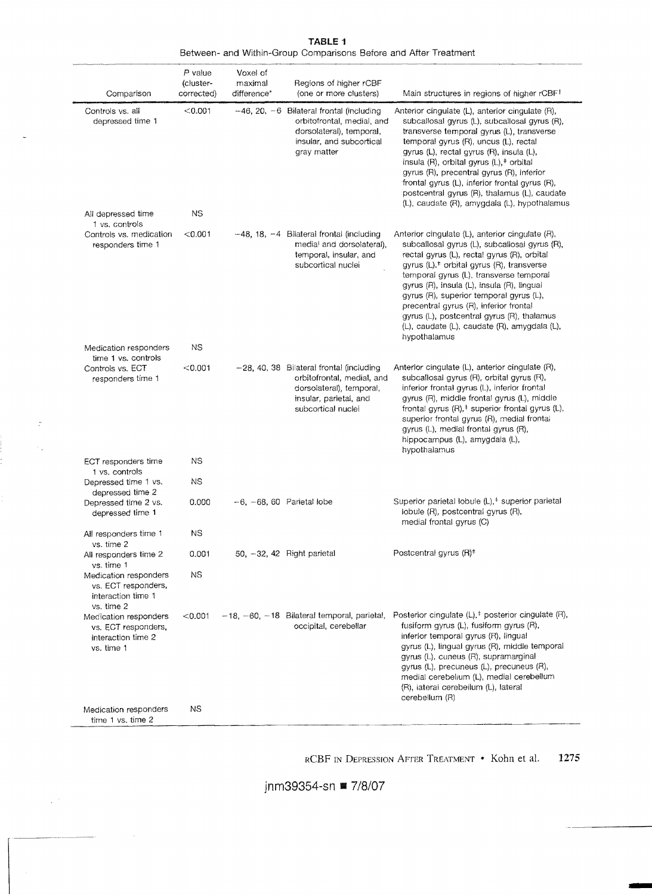| Comparison                                                                       | P value<br>(cluster-<br>corrected) | Voxel of<br>maximal<br>difference* | Regions of higher rCBF<br>(one or more clusters)                                                                                                   | Main structures in regions of higher rCBF <sup>+</sup>                                                                                                                                                                                                                                                                                                                                                                                                                                                        |
|----------------------------------------------------------------------------------|------------------------------------|------------------------------------|----------------------------------------------------------------------------------------------------------------------------------------------------|---------------------------------------------------------------------------------------------------------------------------------------------------------------------------------------------------------------------------------------------------------------------------------------------------------------------------------------------------------------------------------------------------------------------------------------------------------------------------------------------------------------|
| Controls vs. all<br>depressed time 1                                             | < 0.001                            |                                    | $-46$ , 20, $-6$ Bilateral frontal (including<br>orbitofrontal, medial, and<br>dorsolateral), temporal,<br>insular, and subcortical<br>gray matter | Anterior cingulate (L), anterior cingulate (R),<br>subcallosal qyrus (L), subcallosal qyrus (R),<br>transverse temporal gyrus (L), transverse<br>temporal gyrus (R), uncus (L), rectal<br>gyrus (L), rectal gyrus (R), insula (L),<br>insula $(R)$ , orbital gyrus $(L)$ , <sup><math>\pm</math></sup> orbital<br>gyrus (R), precentral gyrus (R), inferior<br>frontal gyrus (L), inferior frontal gyrus (R),<br>postcentral gyrus (R), thalamus (L), caudate<br>(L), caudate (R), amygdala (L), hypothalamus |
| All depressed time<br>1 vs. controls                                             | NS.                                |                                    |                                                                                                                                                    |                                                                                                                                                                                                                                                                                                                                                                                                                                                                                                               |
| Controls vs. medication<br>responders time 1                                     | < 0.001                            |                                    | $-48$ , 18, $-4$ Bilateral frontal (including<br>medial and dorsolateral),<br>temporal, insular, and<br>subcortical nuclei                         | Anterior cingulate (L), anterior cingulate (R),<br>subcallosal gyrus (L), subcallosal gyrus (R),<br>rectal gyrus (L), rectal gyrus (R), orbital<br>gyrus (L), <sup>#</sup> orbital gyrus (R), transverse<br>temporal gyrus (L), transverse temporal<br>gyrus (R), insula (L), insula (R), lingual<br>gyrus (R), superior temporal gyrus (L),<br>precentral gyrus (R), interior frontal<br>gyrus (L), postcentral gyrus (R), thalamus<br>(L), caudate (L), caudate (R), amygdala (L),<br>hypothalamus          |
| Medication responders<br>time 1 vs. controls                                     | <b>NS</b>                          |                                    |                                                                                                                                                    |                                                                                                                                                                                                                                                                                                                                                                                                                                                                                                               |
| Controls vs. ECT<br>responders time 1                                            | < 0.001                            |                                    | -28, 40, 38 Bilateral frontal (including<br>orbitofrontal, medial, and<br>dorsolateral), temporal,<br>insular, parietal, and<br>subcortical nuclei | Anterior cingulate (L), anterior cingulate (R),<br>subcallosal gyrus (R), orbital gyrus (R),<br>inferior frontal gyrus (L), inferior frontal<br>gyrus (R), middle frontal gyrus (L), middle<br>frontal gyrus (R), <sup>#</sup> superior frontal gyrus (L),<br>superior frontal gyrus (R), medial frontal<br>gyrus (L), medial frontal gyrus (R),<br>hippocampus (L), amygdala (L),<br>hypothalamus                                                                                                            |
| ECT responders time<br>1 vs. controls                                            | <b>NS</b>                          |                                    |                                                                                                                                                    |                                                                                                                                                                                                                                                                                                                                                                                                                                                                                                               |
| Depressed time 1 vs.<br>depressed time 2                                         | <b>NS</b>                          |                                    |                                                                                                                                                    |                                                                                                                                                                                                                                                                                                                                                                                                                                                                                                               |
| Depressed time 2 vs.<br>depressed time 1                                         | 0.000                              |                                    | $-6. -68.60$ Parietal lobe                                                                                                                         | Superior parietal lobule (L), <sup>#</sup> superior parietal<br>iobule (R), postcentral gyrus (R),<br>medial frontal gyrus (C)                                                                                                                                                                                                                                                                                                                                                                                |
| All responders time 1<br>vs. time 2                                              | <b>NS</b>                          |                                    |                                                                                                                                                    |                                                                                                                                                                                                                                                                                                                                                                                                                                                                                                               |
| All responders time 2<br>vs. time 1<br>Medication responders                     | 0.001<br>ΝS                        |                                    | 50, -32, 42 Right parietal                                                                                                                         | Postcentral gyrus (R) <sup>#</sup>                                                                                                                                                                                                                                                                                                                                                                                                                                                                            |
| vs. ECT responders,<br>interaction time 1<br>vs. time 2                          |                                    |                                    |                                                                                                                                                    |                                                                                                                                                                                                                                                                                                                                                                                                                                                                                                               |
| Medication responders<br>vs. ECT responders,<br>interaction time 2<br>vs. time 1 | < 0.001                            |                                    | $-18$ , $-60$ , $-18$ Bilateral temporal, parietal,<br>occipital, cerebellar                                                                       | Posterior cingulate $(L)$ , <sup><math>\ddagger</math></sup> posterior cingulate (R),<br>fusiform gyrus (L), fusiform gyrus (R),<br>inferior temporal gyrus (R), lingual<br>gyrus (L), lingual gyrus (R), middle temporal<br>gyrus (L), cuneus (R), supramarginal<br>gyrus (L), precuneus (L), precuneus (R),<br>medial cerebellum (L), medial cerebellum<br>(R), lateral cerebellum (L), lateral<br>cerebellum (R)                                                                                           |
| Medication responders<br>time 1 vs. time 2                                       | NS.                                |                                    |                                                                                                                                                    |                                                                                                                                                                                                                                                                                                                                                                                                                                                                                                               |

 $\ddot{\zeta}$ 

 $\mathcal{F}_\infty$ 

 $\chi^{(2)}$ 

**TABLE 1**  Between- and Within-Group Comparisons Before and After Treatment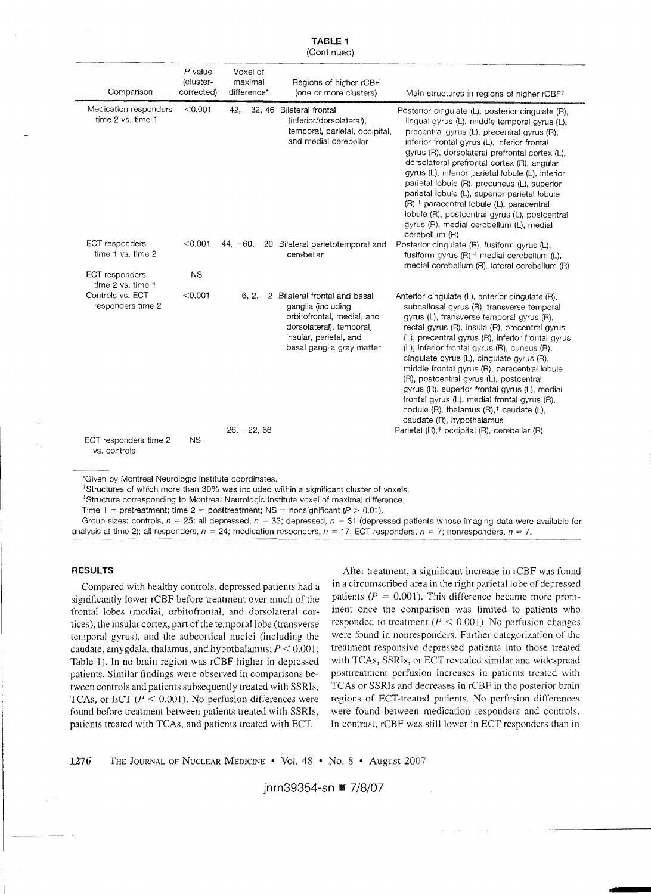| Comparison                                     | $P$ value<br>(cluster-<br>corrected)                     | Voxel of<br>maximal<br>difference*                                                                                                                                            | Regions of higher rCBF<br>(one or more clusters)                                                                                                                              | Main structures in regions of higher rCBF <sup>+</sup>                                                                                                                                                                                                                                                                                                                                                                                                                                                                                                                                                                                                |
|------------------------------------------------|----------------------------------------------------------|-------------------------------------------------------------------------------------------------------------------------------------------------------------------------------|-------------------------------------------------------------------------------------------------------------------------------------------------------------------------------|-------------------------------------------------------------------------------------------------------------------------------------------------------------------------------------------------------------------------------------------------------------------------------------------------------------------------------------------------------------------------------------------------------------------------------------------------------------------------------------------------------------------------------------------------------------------------------------------------------------------------------------------------------|
| Medication responders<br>time 2 vs. time 1     | < 0.001                                                  |                                                                                                                                                                               | 42, $-32$ , 46 Bilateral frontal<br>(inferior/dorsolateral).<br>temporal, parietal, occipital,<br>and medial cerebellar                                                       | Posterior cingulate (L), posterior cingulate (R),<br>lingual gyrus (L), middle temporal gyrus (L),<br>precentral gyrus (L), precentral gyrus (R),<br>inferior frontal gyrus (L), inferior frontal<br>gyrus (R), dorsolateral prefrontal cortex (L).<br>dorsolateral prefrontal cortex (R), angular<br>gyrus (L), inferior parietal lobule (L), inferior<br>parietal lobule (R), precuneus (L), superior<br>parietal lobule (L), superior parietal lobule<br>(R), <sup>#</sup> paracentral lobule (L), paracentral<br>lobule (R), postcentral gyrus (L), postcentral<br>gyrus (R), medial cerebellum (L), medial<br>cerebellum (R)                     |
| ECT responders<br>< 0.001<br>time 1 vs. time 2 | 44, -60, -20 Bilateral parietotemporal and<br>cerebellar | Posterior cingulate (R), fusiform gyrus (L),<br>fusiform gyrus $(R)$ , <sup><math>\pm</math></sup> medial cerebellum $(L)$ ,<br>medial cerebellum (R), lateral cerebellum (R) |                                                                                                                                                                               |                                                                                                                                                                                                                                                                                                                                                                                                                                                                                                                                                                                                                                                       |
| ECT responders<br>time 2 vs. time 1            | <b>NS</b>                                                |                                                                                                                                                                               |                                                                                                                                                                               |                                                                                                                                                                                                                                                                                                                                                                                                                                                                                                                                                                                                                                                       |
| Controls vs. ECT<br>responders time 2          | < 0.001                                                  |                                                                                                                                                                               | 6, 2, $-2$ Bilateral frontal and basal<br>ganglia (including<br>orbitofrontal, medial, and<br>dorsolateral), temporal,<br>insular, parietal, and<br>basal ganglia gray matter | Anterior cingulate (L), anterior cingulate (R),<br>subcallosal gyrus (R), transverse temporal<br>gyrus (L), transverse temporal gyrus (R).<br>rectal gyrus (R), insula (R), precentral gyrus<br>(L), precentral gyrus (R), inferior frontal gyrus<br>(L), inferior frontal gyrus (R), cuneus (R),<br>cingulate gyrus (L), cingulate gyrus (R),<br>middle frontal gyrus (R), paracentral lobule<br>(R), postcentral gyrus (L), postcentral<br>gyrus (R), superior frontal gyrus (L), medial<br>frontal gyrus (L), medial frontal gyrus (R),<br>nodule (R), thalamus $(R)$ , <sup><math>\ddagger</math></sup> caudate (L),<br>caudate (R), hypothalamus |
| ECT responders time 2<br>vs. controls          | <b>NS</b>                                                | $26, -22, 66$                                                                                                                                                                 |                                                                                                                                                                               | Parietal (R), <sup>#</sup> occipital (R), cerebellar (R)                                                                                                                                                                                                                                                                                                                                                                                                                                                                                                                                                                                              |

**TABLE 1** 

(Continued)

'Given by Montreal Neurologic Institute coordinates.

<sup>†</sup>Structures of which more than 30% was included within a significant cluster of voxels.

'Structure corresponding to Montreal Neurologic institute voxel of maximal difference.

Time 1 = pretreatment; time 2 = posttreatment; NS = nonsignificant ( $P > 0.01$ ),

Group sizes: controls,  $n = 25$ ; all depressed,  $n = 33$ ; depressed,  $n = 31$  (depressed patients whose imaging data were available for analysis at time 2); all responders,  $n = 24$ ; medication responders,  $n = 17$ ; ECT responders,  $n = 7$ ; nonresponders,  $n = 7$ .

significantly lower rCBF before treatment over much of the patients  $(P = 0.001)$ . This difference became more prom-<br>frontal lobes (medial orbitofrontal and dorsolateral cor-<br>inent once the comparison was limited to patient frontal lobes (medial, orbitofrontal, and dorsolateral cortices), the insular cortex, part of the temporal lobe (transverse responded to treatment ( $P \le 0.001$ ). No perfusion changes temporal gyrus), and the subcortical nuclei (including the were found in nonresponders. Further categorization of the caudate, amygdala, thalamus, and hypothalamus; *I'* < 0.00 I; trealment-responsive depressed patients into those treated Table 1). In no brain region was rCBF higher in depressed with TCAs, SSRIs, or ECT revealed similar and widespread patients. Similar findings were observed in comparisons be- posttreatment perfusion increases in patients treated with tween controls and patients subsequently treated with SSRls, TCAs or SSRls and decreases in rCBF in the posterior brain TCAs, or ECT  $(P < 0.001)$ . No perfusion differences were regions of ECT-treated patients. No perfusion differences found before treatment between patients treated with SSRIs, were found between medication responders and controls. patients treated with TCAs, and patients treated with ECT. In contrast, rCBF was still lower in ECT responders than in

**RESULTS After treatment, a significant increase in rCBF was found** Compared with healthy controls, depressed patients had a in a circumscribed area in the right parietal lobe of depressed<br>prificantly lower rCBF before treatment over much of the patients ( $P = 0.001$ ). This difference beca

1276 THE JOURNAL OF NUCLEAR MEDICINE • Vol. 48 • No. 8 • August 2007

**jnm39354-sn II** 7/8/07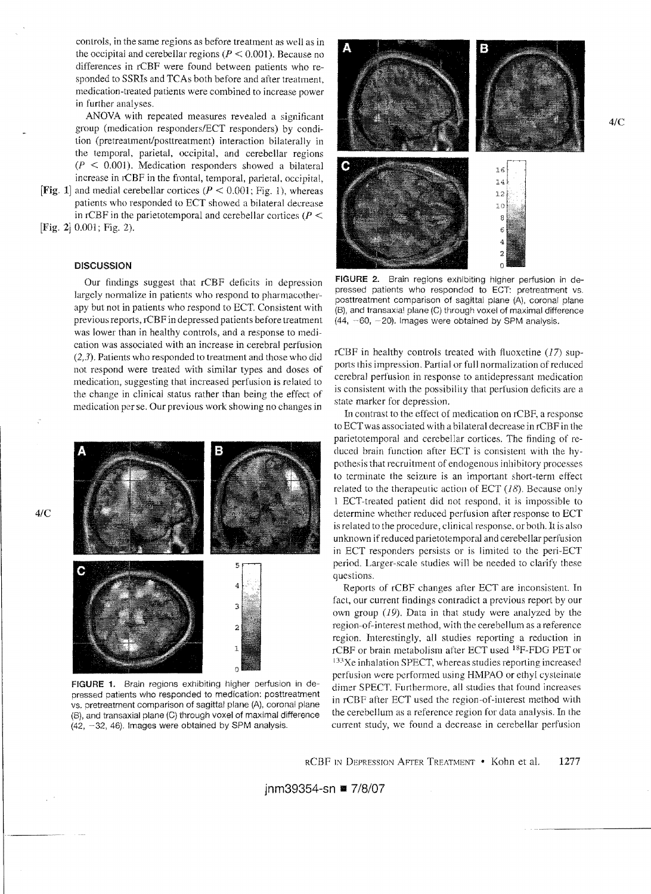controls, in the same regions as before treatment as well as in the occipital and cerebellar regions ( $P \le 0.001$ ). Because no differences in rCBF were found between patients who responded to SSRIs and TCAs both before and after treatment, medication-treated patients were combined to increase power in further analyses.

ANOVA with repeated measures revealed a significant group (medication responders/ECT responders) by condition (pretreatment/posttreatment) interaction bilaterally in the temporal, parietal, occipital, and cerebellar regions  $(P \le 0.001)$ . Medication responders showed a bilateral increase in rCBF in the frontal, temporal, parietal, oceipital,

[Fig. 1] and medial cerebellar cortices ( $P < 0.001$ ; Fig. 1), whereas patients who responded to ECT showed a bilateral decrease in rCBF in the parietotemporal and cerebellar cortices ( $P \leq$ [Fig. 2]  $0.001$ ; Fig. 2).

# **DISCUSSION**

Our findings suggest that rCEF deficits in depression largely normalize in patients who respond to pharmacotherapy but not in patients who respond to ECT. Consistent with previous reports, rCBF in depressed patients before treatment was lower than in healthy controls, and a response to medication was associated with an increase in cerebral perfusion (2,3). Patients who responded to treatment and those who did not respond were treated with similar types and doses of medication, suggesting that increased perfusion is related to the change in clinical status rather than being the effect of medication per se. Our previous work showing no changes in



FIGURE 1. Brain regions exhibiting higher perfusion in depressed patients who responded to medication: posttreatment vs. pretreatment comparison of sagittal plane (Aj, coronal plane (B), and transaxial plane (C) through voxel of maximal difference  $(42, -32, 46)$ . Images were obtained by SPM analysis.



FIGURE 2. Brain regions exhibiting higher perfusion in depressed patients who responded to ECT: pretreatment vs. posttreatment comparison of sagittal plane (A), coronal plane (B), and transaxial plane (C) through voxel of maximal difference  $(44, -60, -20)$ . Images were obtained by SPM analysis.

rCBF in healthy controls treated with fluoxetine  $(17)$  supports this impression. Partial or full normalization of reduced cerebral perfusion in response to antidepressant medication is consistent with the possibility that perfusion deficits are a state marker for depression.

In contrast to the effect of medication on rCEF, a response to ECTwas associated with a bilateral decrease in rCBF in the parietotemporal and cerebellar cortices. The finding of reduced brain function after ECT is consistent with the hypothesis that recruitment of endogenous inhibitory processes to terminate the seizure is an important short-term elfect related to the therapeutic action of ECT  $(18)$ . Because only 1 ECT-treated patient did not respond, it is impossible to determine whether reduced perfusion after response to ECT is related to the procedure, clinical response. or both. It is also unknown if reduced parietotemporal and cerebellar perfusion in ECT responders persists or is limited to the peri-ECT period. Larger-scale studies will be needed to clarify these questions.

Reports of rCBF changes after ECT are inconsistent. In fact, our current findings contradict a previous report by our own group  $(19)$ . Data in that study were analyzed by the region-of-interest method, with the cerebellum as a reference region. Interestingly, all studies reporting a reduction in rCBF or brain metabolism after ECT used 18F-FDG PET or  $133$ Xe inhalation SPECT, whereas studies reporting increased perfusion were performed using HMPAO or ethyl cysteinale dimer SPECT. Furthermore, all studies that found increases in rCBF after ECT used the region-of-interest method with the cerebellum as a reference region for data analysis. In the current study, we found a decrease in cerebellar perfusion

*4/C* 

*4/C*